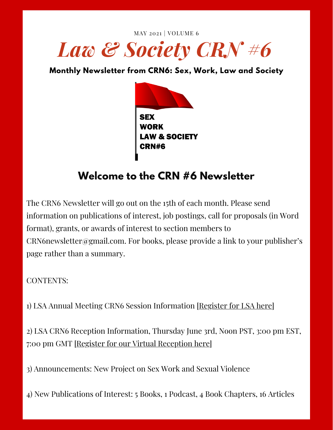



# **Welcome to the CRN #6 Newsletter**

The CRN6 Newsletter will go out on the 15th of each month. Please send information on publications of interest, job postings, call for proposals (in Word format), grants, or awards of interest to section members to  $CRN6$ newsletter@gmail.com. For books, please provide a link to your publisher's page rather than a summary.

CONTENTS:

1) LSA Annual Meeting CRN6 Session Information [[Register](https://lawandsociety.site-ym.com/events/EventDetails.aspx?id=1461438&group=) for LSA here]

2) LSA CRN6 Reception Information, Thursday June 3rd, Noon PST, 3:00 pm EST, 7:00 pm GMT [Register for our Virtual [Reception](https://www.sex-work-law-and-society.org/events) here]

3) Announcements: New Project on Sex Work and Sexual Violence

4) New Publications of Interest: 5 Books, 1 Podcast, 4 Book Chapters, 16 Articles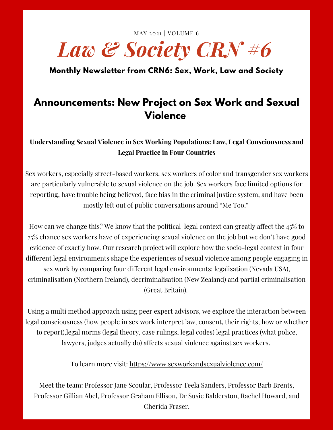MAY 2021 | VOLUME 6

# *Law & Society CRN #6*

**Monthly Newsletter from CRN6: Sex, Work, Law and Society**

### **Announcements: New Project on Sex Work and Sexual Violence**

**Understanding Sexual Violence in Sex Working Populations: Law, Legal Consciousness and Legal Practice in Four Countries**

Sex workers, especially street-based workers, sex workers of color and transgender sex workers are particularly vulnerable to sexual violence on the job. Sex workers face limited options for reporting, have trouble being believed, face bias in the criminal justice system, and have been mostly left out of public conversations around "Me Too."

How can we change this? We know that the political-legal context can greatly affect the 45% to 75% chance sex workers have of experiencing sexual violence on the job but we don't have good evidence of exactly how. Our research project will explore how the socio-legal context in four different legal environments shape the experiences of sexual violence among people engaging in sex work by comparing four different legal environments: legalisation (Nevada USA), criminalisation (Northern Ireland), decriminalisation (New Zealand) and partial criminalisation (Great Britain).

Using a multi method approach using peer expert advisors, we explore the interaction between legal consciousness (how people in sex work interpret law, consent, their rights, how or whether to report),legal norms (legal theory, case rulings, legal codes) legal practices (what police, lawyers, judges actually do) affects sexual violence against sex workers.

To learn more visit: <https://www.sexworkandsexualviolence.com/>

Meet the team: Professor Jane Scoular, Professor Teela Sanders, Professor Barb Brents, Professor Gillian Abel, Professor Graham Ellison, Dr Susie Balderston, Rachel Howard, and Cherida Fraser.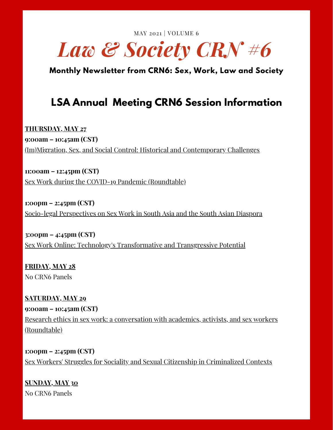MAY 2021 | VOLUME 6



**Monthly Newsletter from CRN6: Sex, Work, Law and Society**

### **LSA Annual Meeting CRN6 Session Information**

**THURSDAY, MAY 27 9:00am – 10:45am (CST)** (Im)Migration, Sex, and Social Control: Historical and [Contemporary](https://lsa-annualmeeting.secure-platform.com/a/solicitations/3/sessiongallery/849) Challenges

**11:00am – 12:45pm (CST)** Sex Work during the COVID-19 Pandemic [\(Roundtable\)](https://lsa-annualmeeting.secure-platform.com/a/solicitations/3/sessiongallery/754)

**1:00pm – 2:45pm (CST)** Socio-legal [Perspectives](https://lsa-annualmeeting.secure-platform.com/a/solicitations/3/sessiongallery/847) on Sex Work in South Asia and the South Asian Diaspora

**3:00pm – 4:45pm (CST)** Sex Work Online: Technology's [Transformative](https://lsa-annualmeeting.secure-platform.com/a/solicitations/3/sessiongallery/848) and Transgressive Potential

**FRIDAY, MAY 28** No CRN6 Panels

**SATURDAY, MAY 29 9:00am – 10:45am (CST)** Research ethics in sex work: a [conversation](https://lsa-annualmeeting.secure-platform.com/a/solicitations/3/sessiongallery/755) with academics, activists, and sex workers (Roundtable)

**1:00pm – 2:45pm (CST)** Sex Workers' Struggles for Sociality and Sexual Citizenship in [Criminalized](https://lsa-annualmeeting.secure-platform.com/a/solicitations/3/sessiongallery/850) Contexts

**SUNDAY, MAY 30** No CRN6 Panels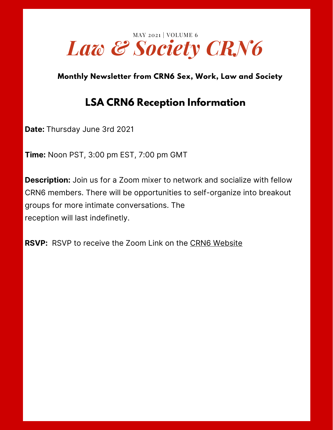

### **LSA CRN6 Reception Information**

**Date:** Thursday June 3rd 2021

**Time:** Noon PST, 3:00 pm EST, 7:00 pm GMT

**Description:** Join us for a Zoom mixer to network and socialize with fellow CRN6 members. There will be opportunities to self-organize into breakout groups for more intimate conversations. The reception will last indefinetly.

**RSVP:** RSVP to receive the Zoom Link on the CRN6 [Website](https://www.sex-work-law-and-society.org/events)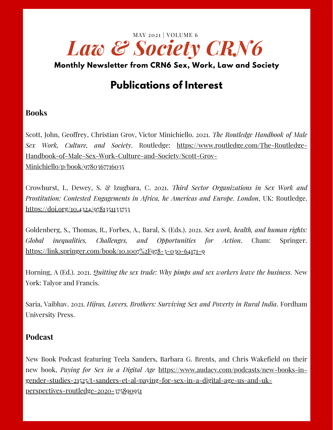

# **Publications of Interest**

#### **Books**

Scott, John, Geoffrey, Christian Grov, Victor Minichiello. 2021. *The Routledge Handbook of Male Sex Work, Culture, and Society*. Routledge: https://www.routledge.com/The-Routledge-[Handbook-of-Male-Sex-Work-Culture-and-Society/Scott-Grov-](https://www.routledge.com/The-Routledge-Handbook-of-Male-Sex-Work-Culture-and-Society/Scott-Grov-Minichiello/p/book/9780367716035)Minichiello/p/book/9780367716035

Crowhurst, I., Dewey, S. & Izugbara, C. 2021. *Third Sector Organizations in Sex Work and Prostitution: Contested Engagements in Africa, he Americas and Europe. London*, UK: Routledge. <https://doi.org/10.4324/9781351133753>

Goldenberg, S., Thomas, R., Forbes, A., Baral, S. (Eds.). 2021. *Sex work, health, and human rights: Global inequalities, Challenges, and Opportunities for Action*. Cham: Springer. <https://link.springer.com/book/10.1007%2F978-3-030-64171-9>

Horning, A (Ed.). 2021. *Quitting the sex trade: Why pimps and sex workers leave the business*. New York: Talyor and Francis.

Saria, Vaibhav. 2021. *Hijras, Lovers, Brothers: Surviving Sex and Poverty in Rural India*. Fordham University Press.

#### **Podcast**

New Book Podcast featuring Teela Sanders, Barbara G. Brents, and Chris Wakefield on their new book, *Paying for Sex in a Digital Age* https://www.audacy.com/podcasts/new-books-in[gender-studies-21525/t-sanders-et-al-paying-for-sex-in-a-digital-age-us-and-uk](https://www.audacy.com/podcasts/new-books-in-gender-studies-21525/t-sanders-et-al-paying-for-sex-in-a-digital-age-us-and-uk-perspectives-routledge-2020-375890951)perspectives-routledge-2020-375890951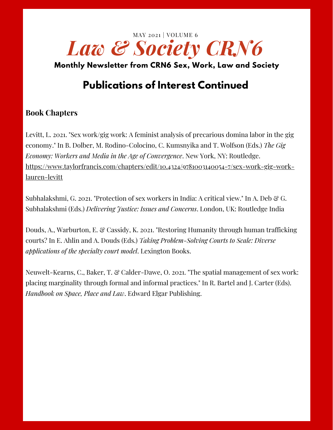

### **Publications of Interest Continued**

### **Book Chapters**

Levitt, L. 2021. "Sex work/gig work: A feminist analysis of precarious domina labor in the gig economy." In B. Dolber, M. Rodino-Colocino, C. Kumsnyika and T. Wolfson (Eds.) *The Gig Economy: Workers and Media in the Age of Convergence*. New York, NY: Routledge. [https://www.taylorfrancis.com/chapters/edit/10.4324/9781003140054-7/sex-work-gig-work](https://www.taylorfrancis.com/chapters/edit/10.4324/9781003140054-7/sex-work-gig-work-lauren-levitt)lauren-levitt

Subhalakshmi, G. 2021. "Protection of sex workers in India: A critical view." In A. Deb  $\mathcal{C}_G$ . Subhalakshmi (Eds.) *Delivering Justice: Issues and Concerns*. London, UK: Routledge India

Douds, A., Warburton, E. & Cassidy, K. 2021. "Restoring Humanity through human trafficking courts? In E. Ahlin and A. Douds (Eds.) *Taking Problem-Solving Courts to Scale: Diverse applications of the specialty court model*. Lexington Books.

Neuwelt-Kearns, C., Baker, T. & Calder-Dawe, O. 2021. "The spatial management of sex work: placing marginality through formal and informal practices." In R. Bartel and J. Carter (Eds). *Handbook on Space, Place and Law*. Edward Elgar Publishing.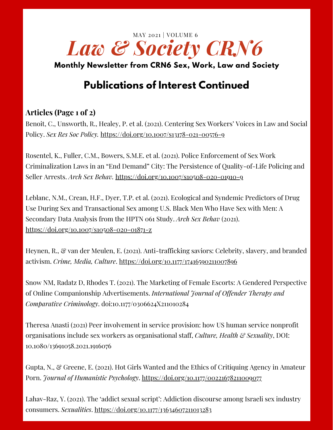

# **Publications of Interest Continued**

### **Articles (Page 1 of 2)**

Benoit, C., Unsworth, R., Healey, P. et al. (2021). Centering Sex Workers' Voices in Law and Social Policy. *Sex Res Soc Policy.* <https://doi.org/10.1007/s13178-021-00576-9>

Rosentel, K., Fuller, C.M., Bowers, S.M.E. et al. (2021). Police Enforcement of Sex Work Criminalization Laws in an "End Demand" City: The Persistence of Quality-of-Life Policing and Seller Arrests. *Arch Sex Behav.* <https://doi.org/10.1007/s10508-020-01910-9>

Leblanc, N.M., Crean, H.F., Dyer, T.P. et al. (2021). Ecological and Syndemic Predictors of Drug Use During Sex and Transactional Sex among U.S. Black Men Who Have Sex with Men: A Secondary Data Analysis from the HPTN 061 Study. *Arch Sex Behav* (2021). <https://doi.org/10.1007/s10508-020-01871-z>

Heynen, R., & van der Meulen, E. (2021). Anti-trafficking saviors: Celebrity, slavery, and branded activism. *Crime, Media, Culture*. <https://doi.org/10.1177/17416590211007896>

Snow NM, Radatz D, Rhodes T. (2021). The Marketing of Female Escorts: A Gendered Perspective of Online Companionship Advertisements. *International Journal of Offender Therapy and Comparative Criminology*. doi:[10.1177/0306624X211010284](https://doi.org/10.1177/0306624X211010284)

Theresa Anasti (2021) Peer involvement in service provision: how US human service nonprofit organisations include sex workers as organisational staff, *Culture, Health & Sexuality*, DOI: [10.1080/13691058.2021.1916076](https://doi.org/10.1080/13691058.2021.1916076)

Gupta, N., & Greene, E. (2021). Hot Girls Wanted and the Ethics of Critiquing Agency in Amateur Porn. *Journal of Humanistic Psychology*. <https://doi.org/10.1177/00221678211009077>

Lahav-Raz, Y. (2021). The 'addict sexual script': Addiction discourse among Israeli sex industry consumers. *Sexualities*. <https://doi.org/10.1177/13634607211013283>